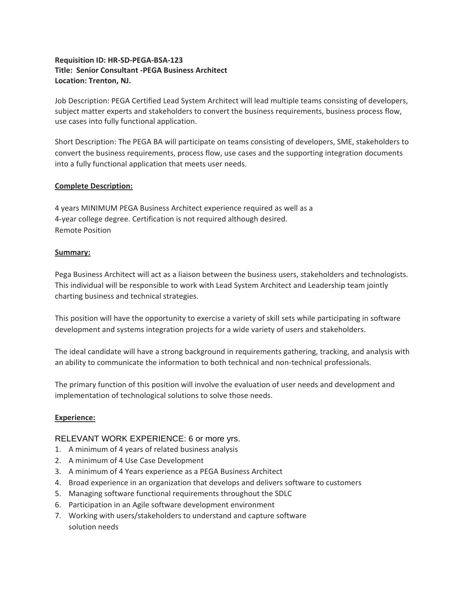# **Requisition ID: HR-SD-PEGA-BSA-123 Title: Senior Consultant -PEGA Business Architect Location: Trenton, NJ.**

Job Description: PEGA Certified Lead System Architect will lead multiple teams consisting of developers, subject matter experts and stakeholders to convert the business requirements, business process flow, use cases into fully functional application.

Short Description: The PEGA BA will participate on teams consisting of developers, SME, stakeholders to convert the business requirements, process flow, use cases and the supporting integration documents into a fully functional application that meets user needs.

### **Complete Description:**

4 years MINIMUM PEGA Business Architect experience required as well as a 4-year college degree. Certification is not required although desired. Remote Position

### **Summary:**

Pega Business Architect will act as a liaison between the business users, stakeholders and technologists. This individual will be responsible to work with Lead System Architect and Leadership team jointly charting business and technical strategies.

This position will have the opportunity to exercise a variety of skill sets while participating in software development and systems integration projects for a wide variety of users and stakeholders.

The ideal candidate will have a strong background in requirements gathering, tracking, and analysis with an ability to communicate the information to both technical and non-technical professionals.

The primary function of this position will involve the evaluation of user needs and development and implementation of technological solutions to solve those needs.

# **Experience:**

# RELEVANT WORK EXPERIENCE: 6 or more yrs.

- 1. A minimum of 4 years of related business analysis
- 2. A minimum of 4 Use Case Development
- 3. A minimum of 4 Years experience as a PEGA Business Architect
- 4. Broad experience in an organization that develops and delivers software to customers
- 5. Managing software functional requirements throughout the SDLC
- 6. Participation in an Agile software development environment
- 7. Working with users/stakeholders to understand and capture software solution needs